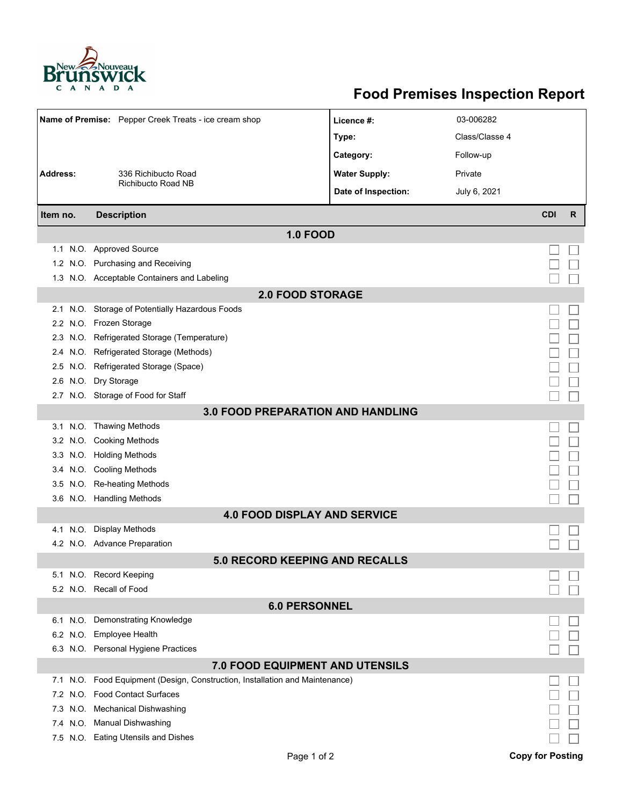

## **Food Premises Inspection Report**

| Name of Premise: Pepper Creek Treats - ice cream shop |                                                                          | Licence #:           | 03-006282      |            |   |  |  |  |
|-------------------------------------------------------|--------------------------------------------------------------------------|----------------------|----------------|------------|---|--|--|--|
|                                                       |                                                                          | Type:                | Class/Classe 4 |            |   |  |  |  |
|                                                       |                                                                          | Category:            | Follow-up      |            |   |  |  |  |
| <b>Address:</b>                                       | 336 Richibucto Road                                                      | <b>Water Supply:</b> | Private        |            |   |  |  |  |
|                                                       | Richibucto Road NB                                                       |                      |                |            |   |  |  |  |
|                                                       |                                                                          | Date of Inspection:  | July 6, 2021   |            |   |  |  |  |
| Item no.                                              | <b>Description</b>                                                       |                      |                | <b>CDI</b> | R |  |  |  |
| <b>1.0 FOOD</b>                                       |                                                                          |                      |                |            |   |  |  |  |
|                                                       | 1.1 N.O. Approved Source                                                 |                      |                |            |   |  |  |  |
|                                                       | 1.2 N.O. Purchasing and Receiving                                        |                      |                |            |   |  |  |  |
|                                                       | 1.3 N.O. Acceptable Containers and Labeling                              |                      |                |            |   |  |  |  |
| <b>2.0 FOOD STORAGE</b>                               |                                                                          |                      |                |            |   |  |  |  |
| 2.1                                                   | N.O. Storage of Potentially Hazardous Foods                              |                      |                |            |   |  |  |  |
|                                                       | 2.2 N.O. Frozen Storage                                                  |                      |                |            |   |  |  |  |
| 2.3                                                   | N.O. Refrigerated Storage (Temperature)                                  |                      |                |            |   |  |  |  |
|                                                       | 2.4 N.O. Refrigerated Storage (Methods)                                  |                      |                |            |   |  |  |  |
|                                                       | 2.5 N.O. Refrigerated Storage (Space)                                    |                      |                |            |   |  |  |  |
|                                                       | 2.6 N.O. Dry Storage                                                     |                      |                |            |   |  |  |  |
|                                                       | 2.7 N.O. Storage of Food for Staff                                       |                      |                |            |   |  |  |  |
| <b>3.0 FOOD PREPARATION AND HANDLING</b>              |                                                                          |                      |                |            |   |  |  |  |
|                                                       | 3.1 N.O. Thawing Methods                                                 |                      |                |            |   |  |  |  |
|                                                       | 3.2 N.O. Cooking Methods                                                 |                      |                |            |   |  |  |  |
|                                                       | 3.3 N.O. Holding Methods                                                 |                      |                |            |   |  |  |  |
|                                                       | 3.4 N.O. Cooling Methods                                                 |                      |                |            |   |  |  |  |
| 3.5                                                   | N.O. Re-heating Methods                                                  |                      |                |            |   |  |  |  |
|                                                       | 3.6 N.O. Handling Methods                                                |                      |                |            |   |  |  |  |
| <b>4.0 FOOD DISPLAY AND SERVICE</b>                   |                                                                          |                      |                |            |   |  |  |  |
| 4.1 N.O.                                              | <b>Display Methods</b>                                                   |                      |                |            |   |  |  |  |
|                                                       | 4.2 N.O. Advance Preparation                                             |                      |                |            |   |  |  |  |
| <b>5.0 RECORD KEEPING AND RECALLS</b>                 |                                                                          |                      |                |            |   |  |  |  |
|                                                       | 5.1 N.O. Record Keeping                                                  |                      |                |            |   |  |  |  |
|                                                       | 5.2 N.O. Recall of Food                                                  |                      |                |            |   |  |  |  |
| <b>6.0 PERSONNEL</b>                                  |                                                                          |                      |                |            |   |  |  |  |
|                                                       | 6.1 N.O. Demonstrating Knowledge                                         |                      |                |            |   |  |  |  |
|                                                       | 6.2 N.O. Employee Health                                                 |                      |                |            |   |  |  |  |
|                                                       | 6.3 N.O. Personal Hygiene Practices                                      |                      |                |            |   |  |  |  |
| <b>7.0 FOOD EQUIPMENT AND UTENSILS</b>                |                                                                          |                      |                |            |   |  |  |  |
| 7.1                                                   | N.O. Food Equipment (Design, Construction, Installation and Maintenance) |                      |                |            |   |  |  |  |
| 7.2                                                   | N.O. Food Contact Surfaces                                               |                      |                |            |   |  |  |  |
| 7.3                                                   | N.O. Mechanical Dishwashing                                              |                      |                |            |   |  |  |  |
|                                                       | 7.4 N.O. Manual Dishwashing                                              |                      |                |            |   |  |  |  |
|                                                       | 7.5 N.O. Eating Utensils and Dishes                                      |                      |                |            |   |  |  |  |